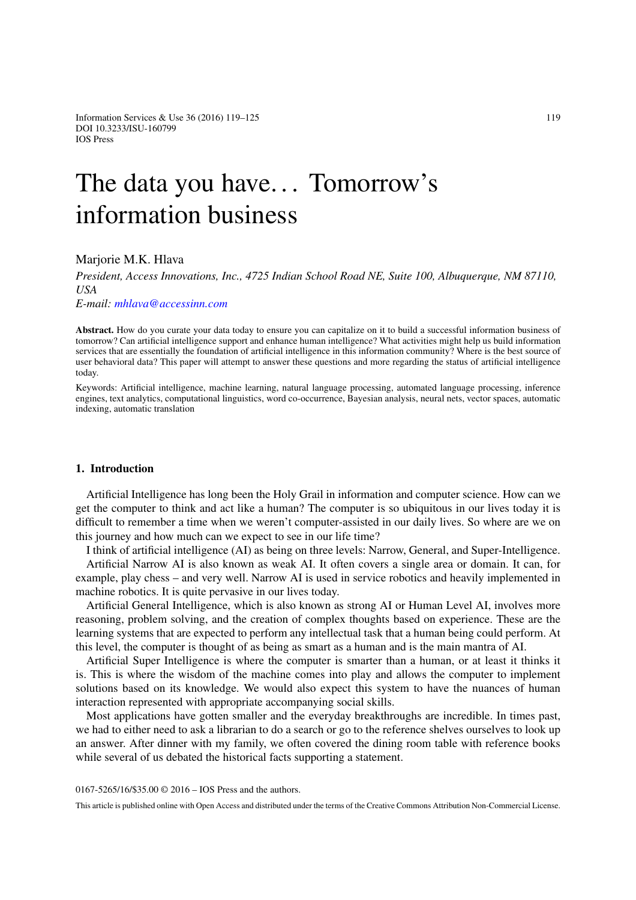Information Services & Use  $36(2016)$  119–125 119 DOI 10.3233/ISU-160799 IOS Press

# The data you have... Tomorrow's information business

## Marjorie M.K. Hlava

*President, Access Innovations, Inc., 4725 Indian School Road NE, Suite 100, Albuquerque, NM 87110, USA*

*E-mail: [mhlava@accessinn.com](mailto:mhlava@accessinn.com)*

**Abstract.** How do you curate your data today to ensure you can capitalize on it to build a successful information business of tomorrow? Can artificial intelligence support and enhance human intelligence? What activities might help us build information services that are essentially the foundation of artificial intelligence in this information community? Where is the best source of user behavioral data? This paper will attempt to answer these questions and more regarding the status of artificial intelligence today.

Keywords: Artificial intelligence, machine learning, natural language processing, automated language processing, inference engines, text analytics, computational linguistics, word co-occurrence, Bayesian analysis, neural nets, vector spaces, automatic indexing, automatic translation

## **1. Introduction**

Artificial Intelligence has long been the Holy Grail in information and computer science. How can we get the computer to think and act like a human? The computer is so ubiquitous in our lives today it is difficult to remember a time when we weren't computer-assisted in our daily lives. So where are we on this journey and how much can we expect to see in our life time?

I think of artificial intelligence (AI) as being on three levels: Narrow, General, and Super-Intelligence.

Artificial Narrow AI is also known as weak AI. It often covers a single area or domain. It can, for example, play chess – and very well. Narrow AI is used in service robotics and heavily implemented in machine robotics. It is quite pervasive in our lives today.

Artificial General Intelligence, which is also known as strong AI or Human Level AI, involves more reasoning, problem solving, and the creation of complex thoughts based on experience. These are the learning systems that are expected to perform any intellectual task that a human being could perform. At this level, the computer is thought of as being as smart as a human and is the main mantra of AI.

Artificial Super Intelligence is where the computer is smarter than a human, or at least it thinks it is. This is where the wisdom of the machine comes into play and allows the computer to implement solutions based on its knowledge. We would also expect this system to have the nuances of human interaction represented with appropriate accompanying social skills.

Most applications have gotten smaller and the everyday breakthroughs are incredible. In times past, we had to either need to ask a librarian to do a search or go to the reference shelves ourselves to look up an answer. After dinner with my family, we often covered the dining room table with reference books while several of us debated the historical facts supporting a statement.

0167-5265/16/\$35.00 © 2016 – IOS Press and the authors.

This article is published online with Open Access and distributed under the terms of the Creative Commons Attribution Non-Commercial License.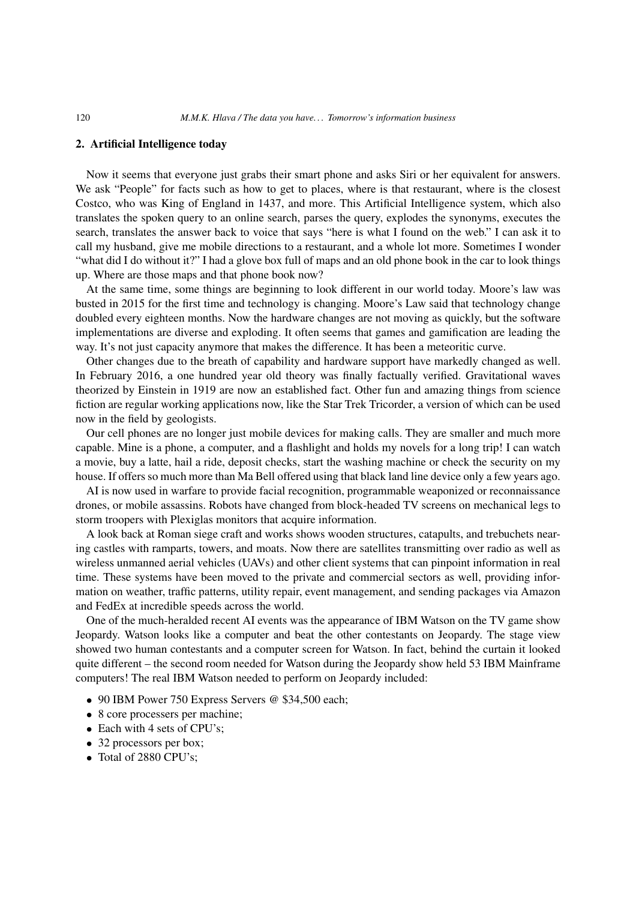### **2. Artificial Intelligence today**

Now it seems that everyone just grabs their smart phone and asks Siri or her equivalent for answers. We ask "People" for facts such as how to get to places, where is that restaurant, where is the closest Costco, who was King of England in 1437, and more. This Artificial Intelligence system, which also translates the spoken query to an online search, parses the query, explodes the synonyms, executes the search, translates the answer back to voice that says "here is what I found on the web." I can ask it to call my husband, give me mobile directions to a restaurant, and a whole lot more. Sometimes I wonder "what did I do without it?" I had a glove box full of maps and an old phone book in the car to look things up. Where are those maps and that phone book now?

At the same time, some things are beginning to look different in our world today. Moore's law was busted in 2015 for the first time and technology is changing. Moore's Law said that technology change doubled every eighteen months. Now the hardware changes are not moving as quickly, but the software implementations are diverse and exploding. It often seems that games and gamification are leading the way. It's not just capacity anymore that makes the difference. It has been a meteoritic curve.

Other changes due to the breath of capability and hardware support have markedly changed as well. In February 2016, a one hundred year old theory was finally factually verified. Gravitational waves theorized by Einstein in 1919 are now an established fact. Other fun and amazing things from science fiction are regular working applications now, like the Star Trek Tricorder, a version of which can be used now in the field by geologists.

Our cell phones are no longer just mobile devices for making calls. They are smaller and much more capable. Mine is a phone, a computer, and a flashlight and holds my novels for a long trip! I can watch a movie, buy a latte, hail a ride, deposit checks, start the washing machine or check the security on my house. If offers so much more than Ma Bell offered using that black land line device only a few years ago.

AI is now used in warfare to provide facial recognition, programmable weaponized or reconnaissance drones, or mobile assassins. Robots have changed from block-headed TV screens on mechanical legs to storm troopers with Plexiglas monitors that acquire information.

A look back at Roman siege craft and works shows wooden structures, catapults, and trebuchets nearing castles with ramparts, towers, and moats. Now there are satellites transmitting over radio as well as wireless unmanned aerial vehicles (UAVs) and other client systems that can pinpoint information in real time. These systems have been moved to the private and commercial sectors as well, providing information on weather, traffic patterns, utility repair, event management, and sending packages via Amazon and FedEx at incredible speeds across the world.

One of the much-heralded recent AI events was the appearance of IBM Watson on the TV game show Jeopardy. Watson looks like a computer and beat the other contestants on Jeopardy. The stage view showed two human contestants and a computer screen for Watson. In fact, behind the curtain it looked quite different – the second room needed for Watson during the Jeopardy show held 53 IBM Mainframe computers! The real IBM Watson needed to perform on Jeopardy included:

- 90 IBM Power 750 Express Servers @ \$34,500 each;
- 8 core processers per machine;
- Each with 4 sets of CPU's;
- 32 processors per box;
- Total of 2880 CPU's;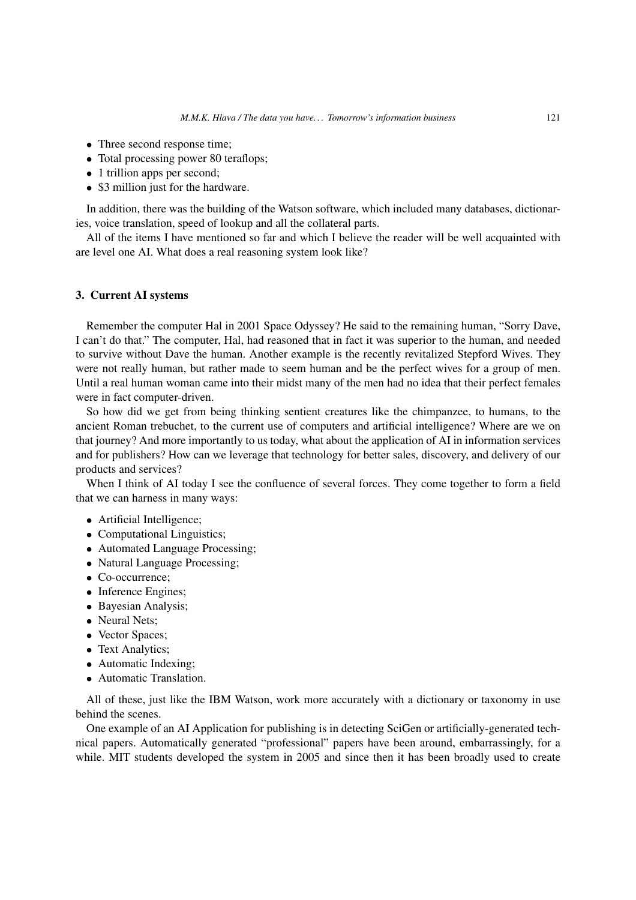- Three second response time:
- Total processing power 80 teraflops;
- 1 trillion apps per second;
- \$3 million just for the hardware.

In addition, there was the building of the Watson software, which included many databases, dictionaries, voice translation, speed of lookup and all the collateral parts.

All of the items I have mentioned so far and which I believe the reader will be well acquainted with are level one AI. What does a real reasoning system look like?

### **3. Current AI systems**

Remember the computer Hal in 2001 Space Odyssey? He said to the remaining human, "Sorry Dave, I can't do that." The computer, Hal, had reasoned that in fact it was superior to the human, and needed to survive without Dave the human. Another example is the recently revitalized Stepford Wives. They were not really human, but rather made to seem human and be the perfect wives for a group of men. Until a real human woman came into their midst many of the men had no idea that their perfect females were in fact computer-driven.

So how did we get from being thinking sentient creatures like the chimpanzee, to humans, to the ancient Roman trebuchet, to the current use of computers and artificial intelligence? Where are we on that journey? And more importantly to us today, what about the application of AI in information services and for publishers? How can we leverage that technology for better sales, discovery, and delivery of our products and services?

When I think of AI today I see the confluence of several forces. They come together to form a field that we can harness in many ways:

- Artificial Intelligence;
- Computational Linguistics;
- Automated Language Processing;
- Natural Language Processing;
- Co-occurrence:
- Inference Engines:
- Bayesian Analysis;
- Neural Nets;
- Vector Spaces;
- Text Analytics;
- Automatic Indexing:
- Automatic Translation.

All of these, just like the IBM Watson, work more accurately with a dictionary or taxonomy in use behind the scenes.

One example of an AI Application for publishing is in detecting SciGen or artificially-generated technical papers. Automatically generated "professional" papers have been around, embarrassingly, for a while. MIT students developed the system in 2005 and since then it has been broadly used to create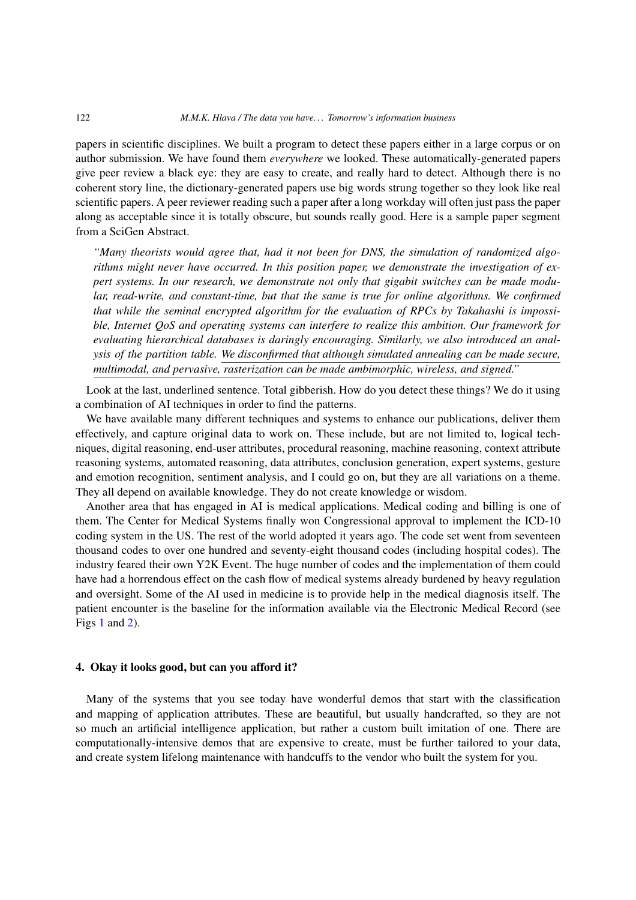papers in scientific disciplines. We built a program to detect these papers either in a large corpus or on author submission. We have found them *everywhere* we looked. These automatically-generated papers give peer review a black eye: they are easy to create, and really hard to detect. Although there is no coherent story line, the dictionary-generated papers use big words strung together so they look like real scientific papers. A peer reviewer reading such a paper after a long workday will often just pass the paper along as acceptable since it is totally obscure, but sounds really good. Here is a sample paper segment from a SciGen Abstract.

*"Many theorists would agree that, had it not been for DNS, the simulation of randomized algorithms might never have occurred. In this position paper, we demonstrate the investigation of expert systems. In our research, we demonstrate not only that gigabit switches can be made modular, read-write, and constant-time, but that the same is true for online algorithms. We confirmed that while the seminal encrypted algorithm for the evaluation of RPCs by Takahashi is impossible, Internet QoS and operating systems can interfere to realize this ambition. Our framework for evaluating hierarchical databases is daringly encouraging. Similarly, we also introduced an analysis of the partition table. We disconfirmed that although simulated annealing can be made secure, multimodal, and pervasive, rasterization can be made ambimorphic, wireless, and signed."*

Look at the last, underlined sentence. Total gibberish. How do you detect these things? We do it using a combination of AI techniques in order to find the patterns.

We have available many different techniques and systems to enhance our publications, deliver them effectively, and capture original data to work on. These include, but are not limited to, logical techniques, digital reasoning, end-user attributes, procedural reasoning, machine reasoning, context attribute reasoning systems, automated reasoning, data attributes, conclusion generation, expert systems, gesture and emotion recognition, sentiment analysis, and I could go on, but they are all variations on a theme. They all depend on available knowledge. They do not create knowledge or wisdom.

Another area that has engaged in AI is medical applications. Medical coding and billing is one of them. The Center for Medical Systems finally won Congressional approval to implement the ICD-10 coding system in the US. The rest of the world adopted it years ago. The code set went from seventeen thousand codes to over one hundred and seventy-eight thousand codes (including hospital codes). The industry feared their own Y2K Event. The huge number of codes and the implementation of them could have had a horrendous effect on the cash flow of medical systems already burdened by heavy regulation and oversight. Some of the AI used in medicine is to provide help in the medical diagnosis itself. The patient encounter is the baseline for the information available via the Electronic Medical Record (see Figs [1](#page-4-0) and [2\)](#page-4-1).

### **4. Okay it looks good, but can you afford it?**

Many of the systems that you see today have wonderful demos that start with the classification and mapping of application attributes. These are beautiful, but usually handcrafted, so they are not so much an artificial intelligence application, but rather a custom built imitation of one. There are computationally-intensive demos that are expensive to create, must be further tailored to your data, and create system lifelong maintenance with handcuffs to the vendor who built the system for you.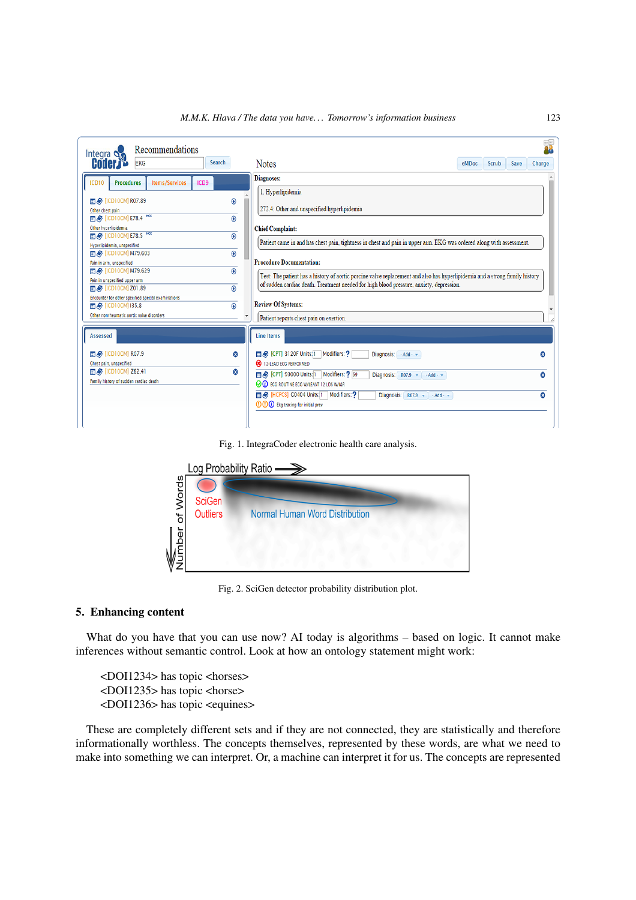

Fig. 1. IntegraCoder electronic health care analysis.

<span id="page-4-0"></span>

<span id="page-4-1"></span>Fig. 2. SciGen detector probability distribution plot.

#### **5. Enhancing content**

What do you have that you can use now? AI today is algorithms – based on logic. It cannot make inferences without semantic control. Look at how an ontology statement might work:

<DOI1234> has topic <horses>  $<$ DOI1235 $>$  has topic  $<$ horse $>$ <DOI1236> has topic <equines>

These are completely different sets and if they are not connected, they are statistically and therefore informationally worthless. The concepts themselves, represented by these words, are what we need to make into something we can interpret. Or, a machine can interpret it for us. The concepts are represented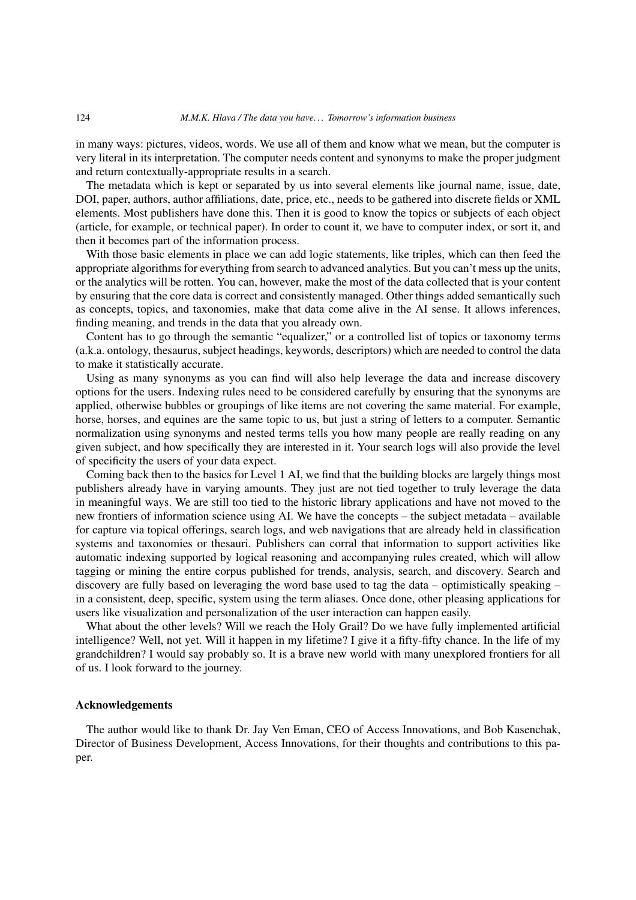in many ways: pictures, videos, words. We use all of them and know what we mean, but the computer is very literal in its interpretation. The computer needs content and synonyms to make the proper judgment and return contextually-appropriate results in a search.

The metadata which is kept or separated by us into several elements like journal name, issue, date, DOI, paper, authors, author affiliations, date, price, etc., needs to be gathered into discrete fields or XML elements. Most publishers have done this. Then it is good to know the topics or subjects of each object (article, for example, or technical paper). In order to count it, we have to computer index, or sort it, and then it becomes part of the information process.

With those basic elements in place we can add logic statements, like triples, which can then feed the appropriate algorithms for everything from search to advanced analytics. But you can't mess up the units, or the analytics will be rotten. You can, however, make the most of the data collected that is your content by ensuring that the core data is correct and consistently managed. Other things added semantically such as concepts, topics, and taxonomies, make that data come alive in the AI sense. It allows inferences, finding meaning, and trends in the data that you already own.

Content has to go through the semantic "equalizer," or a controlled list of topics or taxonomy terms (a.k.a. ontology, thesaurus, subject headings, keywords, descriptors) which are needed to control the data to make it statistically accurate.

Using as many synonyms as you can find will also help leverage the data and increase discovery options for the users. Indexing rules need to be considered carefully by ensuring that the synonyms are applied, otherwise bubbles or groupings of like items are not covering the same material. For example, horse, horses, and equines are the same topic to us, but just a string of letters to a computer. Semantic normalization using synonyms and nested terms tells you how many people are really reading on any given subject, and how specifically they are interested in it. Your search logs will also provide the level of specificity the users of your data expect.

Coming back then to the basics for Level 1 AI, we find that the building blocks are largely things most publishers already have in varying amounts. They just are not tied together to truly leverage the data in meaningful ways. We are still too tied to the historic library applications and have not moved to the new frontiers of information science using AI. We have the concepts – the subject metadata – available for capture via topical offerings, search logs, and web navigations that are already held in classification systems and taxonomies or thesauri. Publishers can corral that information to support activities like automatic indexing supported by logical reasoning and accompanying rules created, which will allow tagging or mining the entire corpus published for trends, analysis, search, and discovery. Search and discovery are fully based on leveraging the word base used to tag the data – optimistically speaking – in a consistent, deep, specific, system using the term aliases. Once done, other pleasing applications for users like visualization and personalization of the user interaction can happen easily.

What about the other levels? Will we reach the Holy Grail? Do we have fully implemented artificial intelligence? Well, not yet. Will it happen in my lifetime? I give it a fifty-fifty chance. In the life of my grandchildren? I would say probably so. It is a brave new world with many unexplored frontiers for all of us. I look forward to the journey.

#### **Acknowledgements**

The author would like to thank Dr. Jay Ven Eman, CEO of Access Innovations, and Bob Kasenchak, Director of Business Development, Access Innovations, for their thoughts and contributions to this paper.